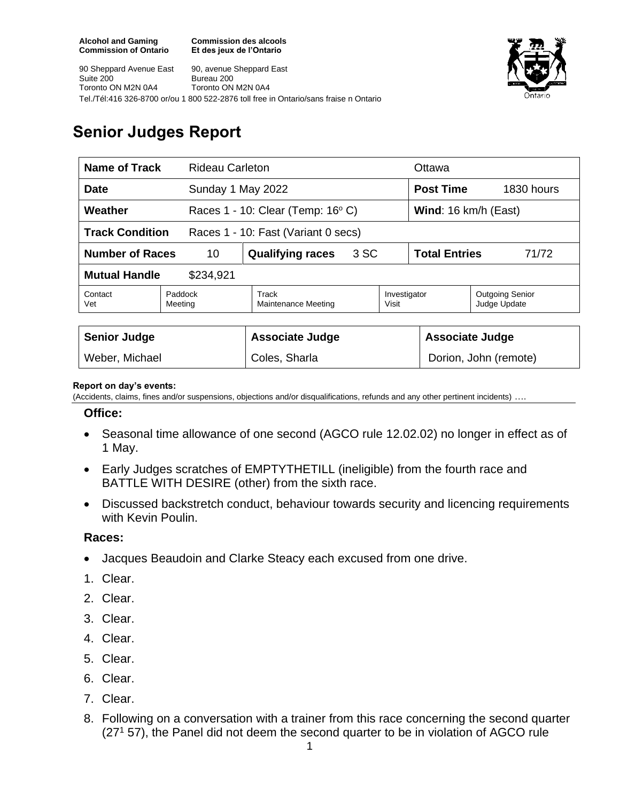**Commission des alcools Et des jeux de l'Ontario**





# **Senior Judges Report**

| <b>Name of Track</b>                                          |                    | <b>Rideau Carleton</b>                        |      |                       | Ottawa                        |                                        |
|---------------------------------------------------------------|--------------------|-----------------------------------------------|------|-----------------------|-------------------------------|----------------------------------------|
| <b>Date</b>                                                   |                    | Sunday 1 May 2022                             |      |                       | <b>Post Time</b>              | 1830 hours                             |
| Weather                                                       |                    | Races $1 - 10$ : Clear (Temp: $16^{\circ}$ C) |      |                       | Wind: 16 km/h (East)          |                                        |
| <b>Track Condition</b><br>Races 1 - 10: Fast (Variant 0 secs) |                    |                                               |      |                       |                               |                                        |
| <b>Number of Races</b><br>10                                  |                    | <b>Qualifying races</b>                       | 3 SC |                       | <b>Total Entries</b><br>71/72 |                                        |
| <b>Mutual Handle</b><br>\$234,921                             |                    |                                               |      |                       |                               |                                        |
| Contact<br>Vet                                                | Paddock<br>Meeting | Track<br><b>Maintenance Meeting</b>           |      | Investigator<br>Visit |                               | <b>Outgoing Senior</b><br>Judge Update |
|                                                               |                    |                                               |      |                       |                               |                                        |
| <b>Senior Judge</b>                                           |                    | <b>Associate Judge</b>                        |      |                       | <b>Associate Judge</b>        |                                        |
| Weber, Michael                                                |                    | Coles, Sharla                                 |      | Dorion, John (remote) |                               |                                        |

#### **Report on day's events:**

(Accidents, claims, fines and/or suspensions, objections and/or disqualifications, refunds and any other pertinent incidents) ….

### **Office:**

- Seasonal time allowance of one second (AGCO rule 12.02.02) no longer in effect as of 1 May.
- Early Judges scratches of EMPTYTHETILL (ineligible) from the fourth race and BATTLE WITH DESIRE (other) from the sixth race.
- Discussed backstretch conduct, behaviour towards security and licencing requirements with Kevin Poulin.

### **Races:**

- Jacques Beaudoin and Clarke Steacy each excused from one drive.
- 1. Clear.
- 2. Clear.
- 3. Clear.
- 4. Clear.
- 5. Clear.
- 6. Clear.
- 7. Clear.
- 8. Following on a conversation with a trainer from this race concerning the second quarter  $(27<sup>1</sup> 57)$ , the Panel did not deem the second quarter to be in violation of AGCO rule